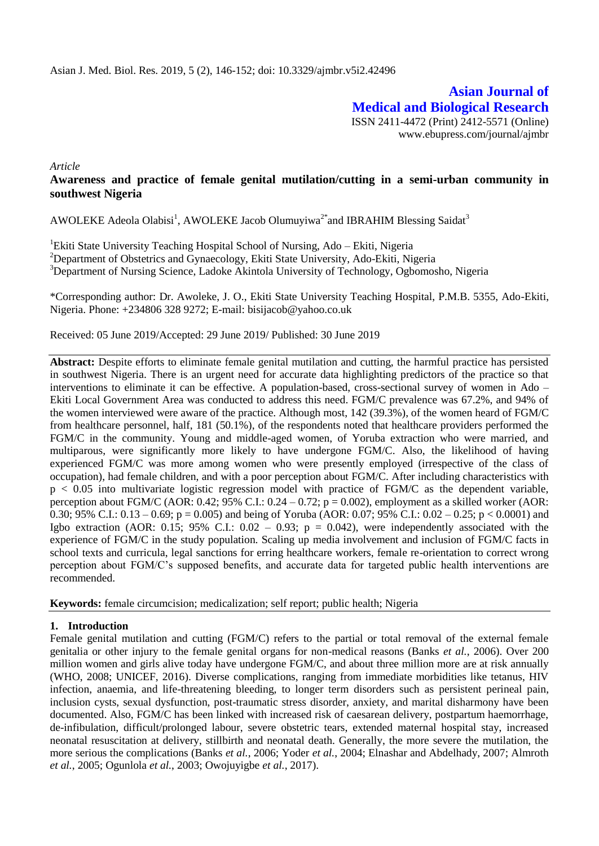**Asian Journal of Medical and Biological Research** ISSN 2411-4472 (Print) 2412-5571 (Online) www.ebupress.com/journal/ajmbr

*Article*

# **Awareness and practice of female genital mutilation/cutting in a semi-urban community in southwest Nigeria**

AWOLEKE Adeola Olabisi<sup>1</sup>, AWOLEKE Jacob Olumuyiwa<sup>2\*</sup>and IBRAHIM Blessing Saidat<sup>3</sup>

<sup>1</sup>Ekiti State University Teaching Hospital School of Nursing, Ado - Ekiti, Nigeria <sup>2</sup>Department of Obstetrics and Gynaecology, Ekiti State University, Ado-Ekiti, Nigeria <sup>3</sup>Department of Nursing Science, Ladoke Akintola University of Technology, Ogbomosho, Nigeria

\*Corresponding author: Dr. Awoleke, J. O., Ekiti State University Teaching Hospital, P.M.B. 5355, Ado-Ekiti, Nigeria. Phone: +234806 328 9272; E-mail: bisijacob@yahoo.co.uk

Received: 05 June 2019/Accepted: 29 June 2019/ Published: 30 June 2019

**Abstract:** Despite efforts to eliminate female genital mutilation and cutting, the harmful practice has persisted in southwest Nigeria. There is an urgent need for accurate data highlighting predictors of the practice so that interventions to eliminate it can be effective. A population-based, cross-sectional survey of women in Ado – Ekiti Local Government Area was conducted to address this need. FGM/C prevalence was 67.2%, and 94% of the women interviewed were aware of the practice. Although most, 142 (39.3%), of the women heard of FGM/C from healthcare personnel, half, 181 (50.1%), of the respondents noted that healthcare providers performed the FGM/C in the community. Young and middle-aged women, of Yoruba extraction who were married, and multiparous, were significantly more likely to have undergone FGM/C. Also, the likelihood of having experienced FGM/C was more among women who were presently employed (irrespective of the class of occupation), had female children, and with a poor perception about FGM/C. After including characteristics with p < 0.05 into multivariate logistic regression model with practice of FGM/C as the dependent variable, perception about FGM/C (AOR: 0.42; 95% C.I.:  $0.24 - 0.72$ ; p = 0.002), employment as a skilled worker (AOR: 0.30; 95% C.I.: 0.13 – 0.69;  $p = 0.005$ ) and being of Yoruba (AOR: 0.07; 95% C.I.: 0.02 – 0.25;  $p < 0.0001$ ) and Igbo extraction (AOR: 0.15; 95% C.I.: 0.02 – 0.93;  $p = 0.042$ ), were independently associated with the experience of FGM/C in the study population. Scaling up media involvement and inclusion of FGM/C facts in school texts and curricula, legal sanctions for erring healthcare workers, female re-orientation to correct wrong perception about FGM/C's supposed benefits, and accurate data for targeted public health interventions are recommended.

**Keywords:** female circumcision; medicalization; self report; public health; Nigeria

### **1. Introduction**

Female genital mutilation and cutting (FGM/C) refers to the partial or total removal of the external female genitalia or other injury to the female genital organs for non-medical reasons (Banks *et al.*, 2006). Over 200 million women and girls alive today have undergone FGM/C, and about three million more are at risk annually (WHO, 2008; UNICEF, 2016). Diverse complications, ranging from immediate morbidities like tetanus, HIV infection, anaemia, and life-threatening bleeding, to longer term disorders such as persistent perineal pain, inclusion cysts, sexual dysfunction, post-traumatic stress disorder, anxiety, and marital disharmony have been documented. Also, FGM/C has been linked with increased risk of caesarean delivery, postpartum haemorrhage, de-infibulation, difficult/prolonged labour, severe obstetric tears, extended maternal hospital stay, increased neonatal resuscitation at delivery, stillbirth and neonatal death. Generally, the more severe the mutilation, the more serious the complications (Banks *et al.*, 2006; Yoder *et al.*, 2004; Elnashar and Abdelhady, 2007; Almroth *et al.*, 2005; Ogunlola *et al.*, 2003; Owojuyigbe *et al.*, 2017).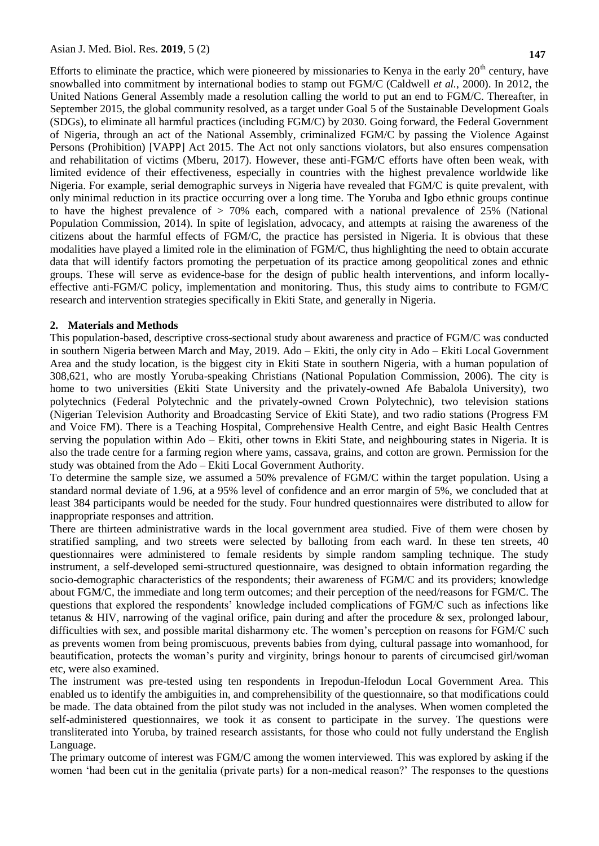Efforts to eliminate the practice, which were pioneered by missionaries to Kenya in the early  $20<sup>th</sup>$  century, have snowballed into commitment by international bodies to stamp out FGM/C (Caldwell *et al.*, 2000). In 2012, the United Nations General Assembly made a resolution calling the world to put an end to FGM/C. Thereafter, in September 2015, the global community resolved, as a target under Goal 5 of the Sustainable Development Goals (SDGs), to eliminate all harmful practices (including FGM/C) by 2030. Going forward, the Federal Government of Nigeria, through an act of the National Assembly, criminalized FGM/C by passing the Violence Against Persons (Prohibition) [VAPP] Act 2015. The Act not only sanctions violators, but also ensures compensation and rehabilitation of victims (Mberu, 2017). However, these anti-FGM/C efforts have often been weak, with limited evidence of their effectiveness, especially in countries with the highest prevalence worldwide like Nigeria. For example, serial demographic surveys in Nigeria have revealed that FGM/C is quite prevalent, with only minimal reduction in its practice occurring over a long time. The Yoruba and Igbo ethnic groups continue to have the highest prevalence of > 70% each, compared with a national prevalence of 25% (National Population Commission, 2014). In spite of legislation, advocacy, and attempts at raising the awareness of the citizens about the harmful effects of FGM/C, the practice has persisted in Nigeria. It is obvious that these modalities have played a limited role in the elimination of FGM/C, thus highlighting the need to obtain accurate data that will identify factors promoting the perpetuation of its practice among geopolitical zones and ethnic groups. These will serve as evidence-base for the design of public health interventions, and inform locallyeffective anti-FGM/C policy, implementation and monitoring. Thus, this study aims to contribute to FGM/C research and intervention strategies specifically in Ekiti State, and generally in Nigeria.

#### **2. Materials and Methods**

This population-based, descriptive cross-sectional study about awareness and practice of FGM/C was conducted in southern Nigeria between March and May, 2019. Ado – Ekiti, the only city in Ado – Ekiti Local Government Area and the study location, is the biggest city in Ekiti State in southern Nigeria, with a human population of 308,621, who are mostly Yoruba-speaking Christians (National Population Commission, 2006). The city is home to two universities (Ekiti State University and the privately-owned Afe Babalola University), two polytechnics (Federal Polytechnic and the privately-owned Crown Polytechnic), two television stations (Nigerian Television Authority and Broadcasting Service of Ekiti State), and two radio stations (Progress FM and Voice FM). There is a Teaching Hospital, Comprehensive Health Centre, and eight Basic Health Centres serving the population within Ado – Ekiti, other towns in Ekiti State, and neighbouring states in Nigeria. It is also the trade centre for a farming region where yams, cassava, grains, and cotton are grown. Permission for the study was obtained from the Ado – Ekiti Local Government Authority.

To determine the sample size, we assumed a 50% prevalence of FGM/C within the target population. Using a standard normal deviate of 1.96, at a 95% level of confidence and an error margin of 5%, we concluded that at least 384 participants would be needed for the study. Four hundred questionnaires were distributed to allow for inappropriate responses and attrition.

There are thirteen administrative wards in the local government area studied. Five of them were chosen by stratified sampling, and two streets were selected by balloting from each ward. In these ten streets, 40 questionnaires were administered to female residents by simple random sampling technique. The study instrument, a self-developed semi-structured questionnaire, was designed to obtain information regarding the socio-demographic characteristics of the respondents; their awareness of FGM/C and its providers; knowledge about FGM/C, the immediate and long term outcomes; and their perception of the need/reasons for FGM/C. The questions that explored the respondents' knowledge included complications of FGM/C such as infections like tetanus & HIV, narrowing of the vaginal orifice, pain during and after the procedure & sex, prolonged labour, difficulties with sex, and possible marital disharmony etc. The women's perception on reasons for FGM/C such as prevents women from being promiscuous, prevents babies from dying, cultural passage into womanhood, for beautification, protects the woman's purity and virginity, brings honour to parents of circumcised girl/woman etc, were also examined.

The instrument was pre-tested using ten respondents in Irepodun-Ifelodun Local Government Area. This enabled us to identify the ambiguities in, and comprehensibility of the questionnaire, so that modifications could be made. The data obtained from the pilot study was not included in the analyses. When women completed the self-administered questionnaires, we took it as consent to participate in the survey. The questions were transliterated into Yoruba, by trained research assistants, for those who could not fully understand the English Language.

The primary outcome of interest was FGM/C among the women interviewed. This was explored by asking if the women 'had been cut in the genitalia (private parts) for a non-medical reason?' The responses to the questions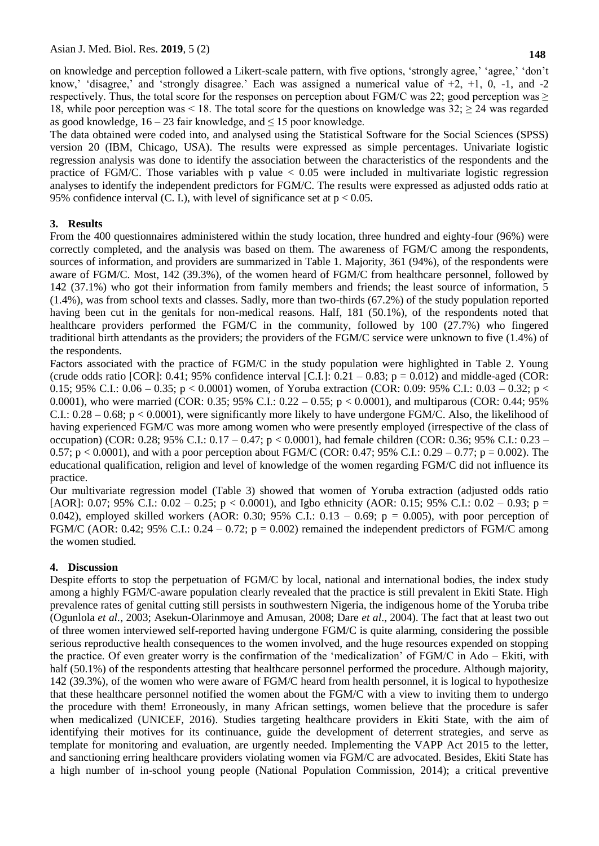on knowledge and perception followed a Likert-scale pattern, with five options, 'strongly agree,' 'agree,' 'don't know,' 'disagree,' and 'strongly disagree.' Each was assigned a numerical value of  $+2$ ,  $+1$ , 0,  $-1$ , and  $-2$ respectively. Thus, the total score for the responses on perception about FGM/C was 22; good perception was  $\geq$ 18, while poor perception was  $\leq 18$ . The total score for the questions on knowledge was 32;  $\geq 24$  was regarded as good knowledge,  $16 - 23$  fair knowledge, and  $\leq 15$  poor knowledge.

The data obtained were coded into, and analysed using the Statistical Software for the Social Sciences (SPSS) version 20 (IBM, Chicago, USA). The results were expressed as simple percentages. Univariate logistic regression analysis was done to identify the association between the characteristics of the respondents and the practice of FGM/C. Those variables with p value  $< 0.05$  were included in multivariate logistic regression analyses to identify the independent predictors for FGM/C. The results were expressed as adjusted odds ratio at 95% confidence interval (C. I.), with level of significance set at  $p < 0.05$ .

## **3. Results**

From the 400 questionnaires administered within the study location, three hundred and eighty-four (96%) were correctly completed, and the analysis was based on them. The awareness of FGM/C among the respondents, sources of information, and providers are summarized in Table 1. Majority, 361 (94%), of the respondents were aware of FGM/C. Most, 142 (39.3%), of the women heard of FGM/C from healthcare personnel, followed by 142 (37.1%) who got their information from family members and friends; the least source of information, 5 (1.4%), was from school texts and classes. Sadly, more than two-thirds (67.2%) of the study population reported having been cut in the genitals for non-medical reasons. Half, 181 (50.1%), of the respondents noted that healthcare providers performed the FGM/C in the community, followed by 100 (27.7%) who fingered traditional birth attendants as the providers; the providers of the FGM/C service were unknown to five (1.4%) of the respondents.

Factors associated with the practice of FGM/C in the study population were highlighted in Table 2. Young (crude odds ratio [COR]: 0.41; 95% confidence interval [C.I.]:  $0.21 - 0.83$ ;  $p = 0.012$ ) and middle-aged (COR: 0.15; 95% C.I.:  $0.06 - 0.35$ ; p < 0.0001) women, of Yoruba extraction (COR: 0.09: 95% C.I.: 0.03 – 0.32; p < 0.0001), who were married (COR: 0.35; 95% C.I.:  $0.22 - 0.55$ ; p < 0.0001), and multiparous (COR: 0.44; 95% C.I.:  $0.28 - 0.68$ ; p < 0.0001), were significantly more likely to have undergone FGM/C. Also, the likelihood of having experienced FGM/C was more among women who were presently employed (irrespective of the class of occupation) (COR: 0.28; 95% C.I.: 0.17 – 0.47; p < 0.0001), had female children (COR: 0.36; 95% C.I.: 0.23 – 0.57;  $p < 0.0001$ ), and with a poor perception about FGM/C (COR: 0.47; 95% C.I.: 0.29 – 0.77;  $p = 0.002$ ). The educational qualification, religion and level of knowledge of the women regarding FGM/C did not influence its practice.

Our multivariate regression model (Table 3) showed that women of Yoruba extraction (adjusted odds ratio [AOR]: 0.07; 95% C.I.: 0.02 – 0.25; p < 0.0001), and Igbo ethnicity (AOR: 0.15; 95% C.I.: 0.02 – 0.93; p = 0.042), employed skilled workers (AOR: 0.30; 95% C.I.: 0.13 – 0.69;  $p = 0.005$ ), with poor perception of FGM/C (AOR: 0.42; 95% C.I.: 0.24 – 0.72;  $p = 0.002$ ) remained the independent predictors of FGM/C among the women studied.

# **4. Discussion**

Despite efforts to stop the perpetuation of FGM/C by local, national and international bodies, the index study among a highly FGM/C-aware population clearly revealed that the practice is still prevalent in Ekiti State. High prevalence rates of genital cutting still persists in southwestern Nigeria, the indigenous home of the Yoruba tribe (Ogunlola *et al.*, 2003; Asekun-Olarinmoye and Amusan, 2008; Dare *et al*., 2004). The fact that at least two out of three women interviewed self-reported having undergone FGM/C is quite alarming, considering the possible serious reproductive health consequences to the women involved, and the huge resources expended on stopping the practice. Of even greater worry is the confirmation of the 'medicalization' of FGM/C in Ado – Ekiti, with half (50.1%) of the respondents attesting that healthcare personnel performed the procedure. Although majority, 142 (39.3%), of the women who were aware of FGM/C heard from health personnel, it is logical to hypothesize that these healthcare personnel notified the women about the FGM/C with a view to inviting them to undergo the procedure with them! Erroneously, in many African settings, women believe that the procedure is safer when medicalized (UNICEF, 2016). Studies targeting healthcare providers in Ekiti State, with the aim of identifying their motives for its continuance, guide the development of deterrent strategies, and serve as template for monitoring and evaluation, are urgently needed. Implementing the VAPP Act 2015 to the letter, and sanctioning erring healthcare providers violating women via FGM/C are advocated. Besides, Ekiti State has a high number of in-school young people (National Population Commission, 2014); a critical preventive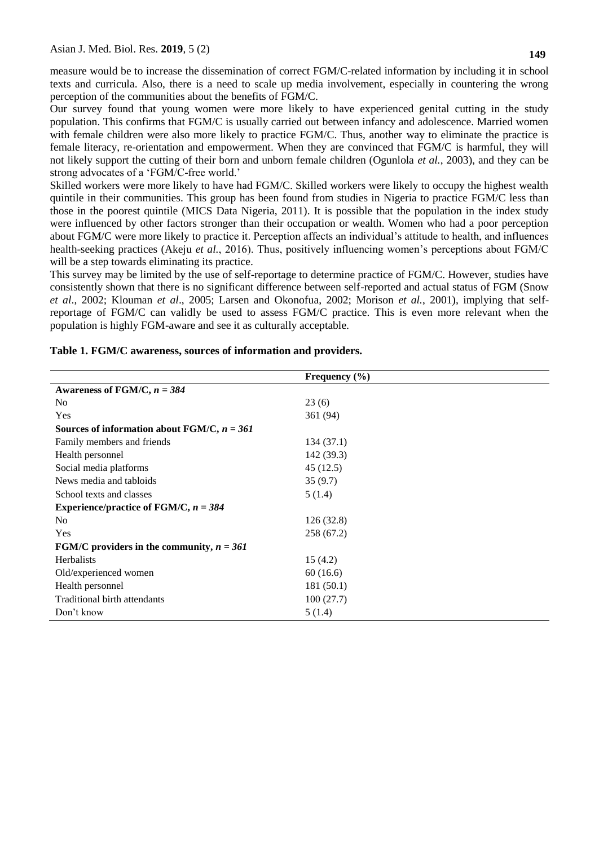measure would be to increase the dissemination of correct FGM/C-related information by including it in school texts and curricula. Also, there is a need to scale up media involvement, especially in countering the wrong perception of the communities about the benefits of FGM/C.

Our survey found that young women were more likely to have experienced genital cutting in the study population. This confirms that FGM/C is usually carried out between infancy and adolescence. Married women with female children were also more likely to practice FGM/C. Thus, another way to eliminate the practice is female literacy, re-orientation and empowerment. When they are convinced that FGM/C is harmful, they will not likely support the cutting of their born and unborn female children (Ogunlola *et al.*, 2003), and they can be strong advocates of a 'FGM/C-free world.'

Skilled workers were more likely to have had FGM/C. Skilled workers were likely to occupy the highest wealth quintile in their communities. This group has been found from studies in Nigeria to practice FGM/C less than those in the poorest quintile (MICS Data Nigeria, 2011). It is possible that the population in the index study were influenced by other factors stronger than their occupation or wealth. Women who had a poor perception about FGM/C were more likely to practice it. Perception affects an individual's attitude to health, and influences health-seeking practices (Akeju *et al.*, 2016). Thus, positively influencing women's perceptions about FGM/C will be a step towards eliminating its practice.

This survey may be limited by the use of self-reportage to determine practice of FGM/C. However, studies have consistently shown that there is no significant difference between self-reported and actual status of FGM (Snow *et al*., 2002; Klouman *et al*., 2005; Larsen and Okonofua, 2002; Morison *et al.*, 2001), implying that selfreportage of FGM/C can validly be used to assess FGM/C practice. This is even more relevant when the population is highly FGM-aware and see it as culturally acceptable.

|                                               | Frequency $(\% )$ |
|-----------------------------------------------|-------------------|
| Awareness of FGM/C, $n = 384$                 |                   |
| No.                                           | 23(6)             |
| Yes                                           | 361 (94)          |
| Sources of information about FGM/C, $n = 361$ |                   |
| Family members and friends                    | 134(37.1)         |
| Health personnel                              | 142 (39.3)        |
| Social media platforms                        | 45 (12.5)         |
| News media and tabloids                       | 35(9.7)           |
| School texts and classes                      | 5(1.4)            |
| Experience/practice of FGM/C, $n = 384$       |                   |
| N <sub>0</sub>                                | 126(32.8)         |
| Yes                                           | 258 (67.2)        |
| FGM/C providers in the community, $n = 361$   |                   |
| <b>Herbalists</b>                             | 15(4.2)           |
| Old/experienced women                         | 60(16.6)          |
| Health personnel                              | 181(50.1)         |
| Traditional birth attendants                  | 100(27.7)         |
| Don't know                                    | 5(1.4)            |

#### **Table 1. FGM/C awareness, sources of information and providers.**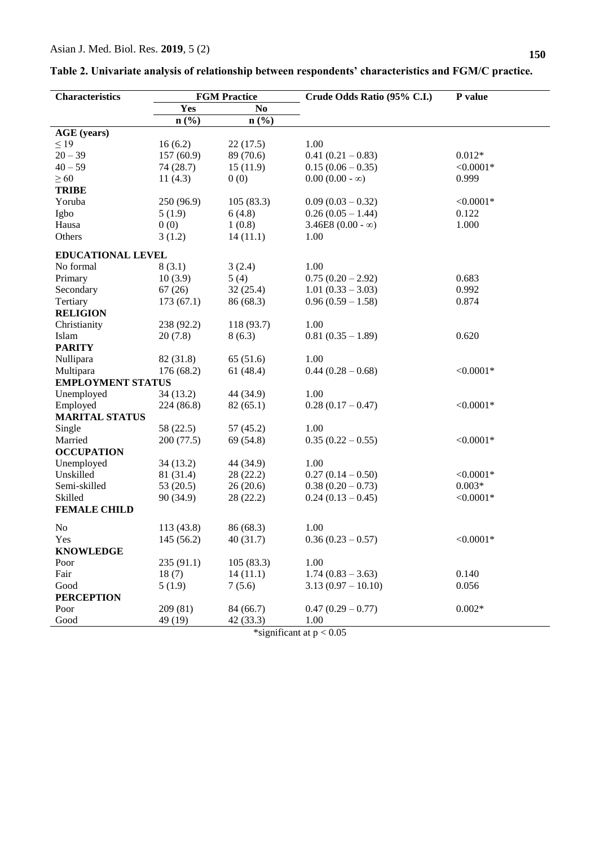| <b>Characteristics</b>   | <b>FGM Practice</b> |                             | Crude Odds Ratio (95% C.I.) | P value     |
|--------------------------|---------------------|-----------------------------|-----------------------------|-------------|
|                          | Yes                 | N <sub>0</sub>              |                             |             |
|                          | n(%)                | $n\left(\frac{9}{6}\right)$ |                             |             |
| <b>AGE</b> (years)       |                     |                             |                             |             |
| $\leq$ 19                | 16(6.2)             | 22(17.5)                    | 1.00                        |             |
| $20 - 39$                | 157(60.9)           | 89 (70.6)                   | $0.41(0.21-0.83)$           | $0.012*$    |
| $40 - 59$                | 74(28.7)            | 15(11.9)                    | $0.15(0.06 - 0.35)$         | $< 0.0001*$ |
| $\geq 60$                | 11(4.3)             | 0(0)                        | $0.00(0.00 - \infty)$       | 0.999       |
| <b>TRIBE</b>             |                     |                             |                             |             |
| Yoruba                   | 250 (96.9)          | 105(83.3)                   | $0.09(0.03 - 0.32)$         | $< 0.0001*$ |
| Igbo                     | 5(1.9)              | 6(4.8)                      | $0.26(0.05 - 1.44)$         | 0.122       |
| Hausa                    | 0(0)                | 1(0.8)                      | 3.46E8 $(0.00 - \infty)$    | 1.000       |
| Others                   | 3(1.2)              | 14(11.1)                    | 1.00                        |             |
| <b>EDUCATIONAL LEVEL</b> |                     |                             |                             |             |
| No formal                | 8(3.1)              | 3(2.4)                      | 1.00                        |             |
| Primary                  | 10(3.9)             | 5(4)                        | $0.75(0.20-2.92)$           | 0.683       |
| Secondary                | 67(26)              | 32(25.4)                    | $1.01(0.33 - 3.03)$         | 0.992       |
| Tertiary                 | 173(67.1)           | 86 (68.3)                   | $0.96(0.59 - 1.58)$         | 0.874       |
| <b>RELIGION</b>          |                     |                             |                             |             |
| Christianity             | 238 (92.2)          | 118 (93.7)                  | 1.00                        |             |
| Islam                    |                     | 8(6.3)                      | $0.81(0.35 - 1.89)$         | 0.620       |
|                          | 20(7.8)             |                             |                             |             |
| <b>PARITY</b>            |                     |                             |                             |             |
| Nullipara                | 82 (31.8)           | 65(51.6)                    | 1.00                        | $< 0.0001*$ |
| Multipara                | 176 (68.2)          | 61(48.4)                    | $0.44(0.28-0.68)$           |             |
| <b>EMPLOYMENT STATUS</b> |                     |                             |                             |             |
| Unemployed               | 34(13.2)            | 44 (34.9)                   | 1.00                        |             |
| Employed                 | 224 (86.8)          | 82(65.1)                    | $0.28(0.17-0.47)$           | $< 0.0001*$ |
| <b>MARITAL STATUS</b>    |                     |                             |                             |             |
| Single                   | 58 (22.5)           | 57(45.2)                    | 1.00                        |             |
| Married                  | 200 (77.5)          | 69 (54.8)                   | $0.35(0.22-0.55)$           | $< 0.0001*$ |
| <b>OCCUPATION</b>        |                     |                             |                             |             |
| Unemployed               | 34(13.2)            | 44 (34.9)                   | 1.00                        |             |
| Unskilled                | 81 (31.4)           | 28(22.2)                    | $0.27(0.14-0.50)$           | $< 0.0001*$ |
| Semi-skilled             | 53 $(20.5)$         | 26(20.6)                    | $0.38(0.20-0.73)$           | $0.003*$    |
| Skilled                  | 90 (34.9)           | 28 (22.2)                   | $0.24(0.13-0.45)$           | $< 0.0001*$ |
| <b>FEMALE CHILD</b>      |                     |                             |                             |             |
| N <sub>o</sub>           | 113 (43.8)          | 86 (68.3)                   | 1.00                        |             |
| Yes                      | 145 (56.2)          | 40(31.7)                    | $0.36(0.23-0.57)$           | $< 0.0001*$ |
| <b>KNOWLEDGE</b>         |                     |                             |                             |             |
| Poor                     | 235 (91.1)          | 105(83.3)                   | 1.00                        |             |
| Fair                     | 18(7)               | 14(11.1)                    | $1.74(0.83 - 3.63)$         | 0.140       |
| Good                     | 5(1.9)              | 7(5.6)                      | $3.13(0.97 - 10.10)$        | 0.056       |
| <b>PERCEPTION</b>        |                     |                             |                             |             |
| Poor                     | 209(81)             | 84 (66.7)                   | $0.47(0.29 - 0.77)$         | $0.002*$    |
| Good                     | 49 (19)             | 42 (33.3)                   | 1.00                        |             |

| Table 2. Univariate analysis of relationship between respondents' characteristics and FGM/C practice. |  |
|-------------------------------------------------------------------------------------------------------|--|
|-------------------------------------------------------------------------------------------------------|--|

\*significant at p < 0.05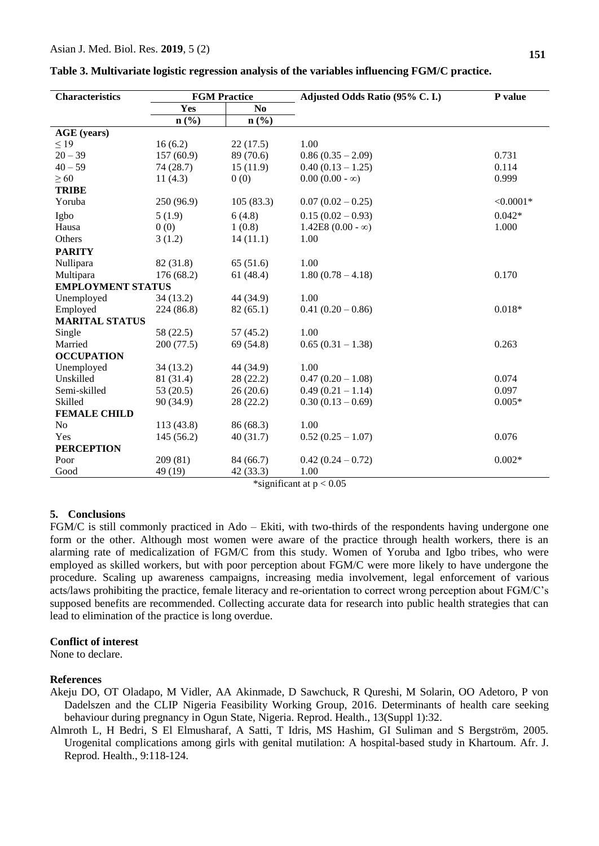| <b>Characteristics</b>   | <b>FGM Practice</b> |                | Adjusted Odds Ratio (95% C. I.)                                                                                                                                                                                                                                                                                             | P value     |
|--------------------------|---------------------|----------------|-----------------------------------------------------------------------------------------------------------------------------------------------------------------------------------------------------------------------------------------------------------------------------------------------------------------------------|-------------|
|                          | Yes                 | N <sub>0</sub> |                                                                                                                                                                                                                                                                                                                             |             |
|                          | n(%)                | n(%)           |                                                                                                                                                                                                                                                                                                                             |             |
| <b>AGE</b> (years)       |                     |                |                                                                                                                                                                                                                                                                                                                             |             |
| $\leq$ 19                | 16(6.2)             | 22(17.5)       | 1.00                                                                                                                                                                                                                                                                                                                        |             |
| $20 - 39$                | 157(60.9)           | 89 (70.6)      | $0.86(0.35-2.09)$                                                                                                                                                                                                                                                                                                           | 0.731       |
| $40 - 59$                | 74(28.7)            | 15(11.9)       | $0.40(0.13 - 1.25)$                                                                                                                                                                                                                                                                                                         | 0.114       |
| $\geq 60$                | 11(4.3)             | 0(0)           | $0.00(0.00 - \infty)$                                                                                                                                                                                                                                                                                                       | 0.999       |
| <b>TRIBE</b>             |                     |                |                                                                                                                                                                                                                                                                                                                             |             |
| Yoruba                   | 250 (96.9)          | 105(83.3)      | $0.07(0.02 - 0.25)$                                                                                                                                                                                                                                                                                                         | $< 0.0001*$ |
| Igbo                     | 5(1.9)              | 6(4.8)         | $0.15(0.02 - 0.93)$                                                                                                                                                                                                                                                                                                         | $0.042*$    |
| Hausa                    | 0(0)                | 1(0.8)         | $1.42E8 (0.00 - \infty)$                                                                                                                                                                                                                                                                                                    | 1.000       |
| Others                   | 3(1.2)              | 14(11.1)       | 1.00                                                                                                                                                                                                                                                                                                                        |             |
| <b>PARITY</b>            |                     |                |                                                                                                                                                                                                                                                                                                                             |             |
| Nullipara                | 82 (31.8)           | 65(51.6)       | 1.00                                                                                                                                                                                                                                                                                                                        |             |
| Multipara                | 176 (68.2)          | 61(48.4)       | $1.80(0.78 - 4.18)$                                                                                                                                                                                                                                                                                                         | 0.170       |
| <b>EMPLOYMENT STATUS</b> |                     |                |                                                                                                                                                                                                                                                                                                                             |             |
| Unemployed               | 34(13.2)            | 44 (34.9)      | 1.00                                                                                                                                                                                                                                                                                                                        |             |
| Employed                 | 224 (86.8)          | 82(65.1)       | $0.41(0.20-0.86)$                                                                                                                                                                                                                                                                                                           | $0.018*$    |
| <b>MARITAL STATUS</b>    |                     |                |                                                                                                                                                                                                                                                                                                                             |             |
| Single                   | 58 (22.5)           | 57(45.2)       | 1.00                                                                                                                                                                                                                                                                                                                        |             |
| Married                  | 200 (77.5)          | 69 (54.8)      | $0.65(0.31 - 1.38)$                                                                                                                                                                                                                                                                                                         | 0.263       |
| <b>OCCUPATION</b>        |                     |                |                                                                                                                                                                                                                                                                                                                             |             |
| Unemployed               | 34 (13.2)           | 44 (34.9)      | 1.00                                                                                                                                                                                                                                                                                                                        |             |
| Unskilled                | 81 (31.4)           | 28(22.2)       | $0.47(0.20 - 1.08)$                                                                                                                                                                                                                                                                                                         | 0.074       |
| Semi-skilled             | 53 $(20.5)$         | 26(20.6)       | $0.49(0.21 - 1.14)$                                                                                                                                                                                                                                                                                                         | 0.097       |
| Skilled                  | 90 (34.9)           | 28(22.2)       | $0.30(0.13-0.69)$                                                                                                                                                                                                                                                                                                           | $0.005*$    |
| <b>FEMALE CHILD</b>      |                     |                |                                                                                                                                                                                                                                                                                                                             |             |
| N <sub>o</sub>           | 113 (43.8)          | 86 (68.3)      | 1.00                                                                                                                                                                                                                                                                                                                        |             |
| Yes                      | 145(56.2)           | 40(31.7)       | $0.52(0.25-1.07)$                                                                                                                                                                                                                                                                                                           | 0.076       |
| <b>PERCEPTION</b>        |                     |                |                                                                                                                                                                                                                                                                                                                             |             |
| Poor                     | 209 (81)            | 84 (66.7)      | $0.42(0.24-0.72)$                                                                                                                                                                                                                                                                                                           | $0.002*$    |
| Good                     | 49 (19)             | 42(33.3)       | 1.00<br>$\frac{1}{2}$ $\frac{1}{2}$ $\frac{1}{2}$ $\frac{1}{2}$ $\frac{1}{2}$ $\frac{1}{2}$ $\frac{1}{2}$ $\frac{1}{2}$ $\frac{1}{2}$ $\frac{1}{2}$ $\frac{1}{2}$ $\frac{1}{2}$ $\frac{1}{2}$ $\frac{1}{2}$ $\frac{1}{2}$ $\frac{1}{2}$ $\frac{1}{2}$ $\frac{1}{2}$ $\frac{1}{2}$ $\frac{1}{2}$ $\frac{1}{2}$ $\frac{1}{2}$ |             |

**Table 3. Multivariate logistic regression analysis of the variables influencing FGM/C practice.**

\*significant at p < 0.05

### **5. Conclusions**

FGM/C is still commonly practiced in Ado – Ekiti, with two-thirds of the respondents having undergone one form or the other. Although most women were aware of the practice through health workers, there is an alarming rate of medicalization of FGM/C from this study. Women of Yoruba and Igbo tribes, who were employed as skilled workers, but with poor perception about FGM/C were more likely to have undergone the procedure. Scaling up awareness campaigns, increasing media involvement, legal enforcement of various acts/laws prohibiting the practice, female literacy and re-orientation to correct wrong perception about FGM/C's supposed benefits are recommended. Collecting accurate data for research into public health strategies that can lead to elimination of the practice is long overdue.

### **Conflict of interest**

None to declare.

### **References**

Akeju DO, OT Oladapo, M Vidler, AA Akinmade, D Sawchuck, R Qureshi, M Solarin, OO Adetoro, P von Dadelszen and the CLIP Nigeria Feasibility Working Group, 2016. Determinants of health care seeking behaviour during pregnancy in Ogun State, Nigeria. Reprod. Health., 13(Suppl 1):32.

Almroth L, H Bedri, S El Elmusharaf, A Satti, T Idris, MS Hashim, GI Suliman and S Bergström, 2005. Urogenital complications among girls with genital mutilation: A hospital-based study in Khartoum. Afr. J. Reprod. Health., 9:118-124.